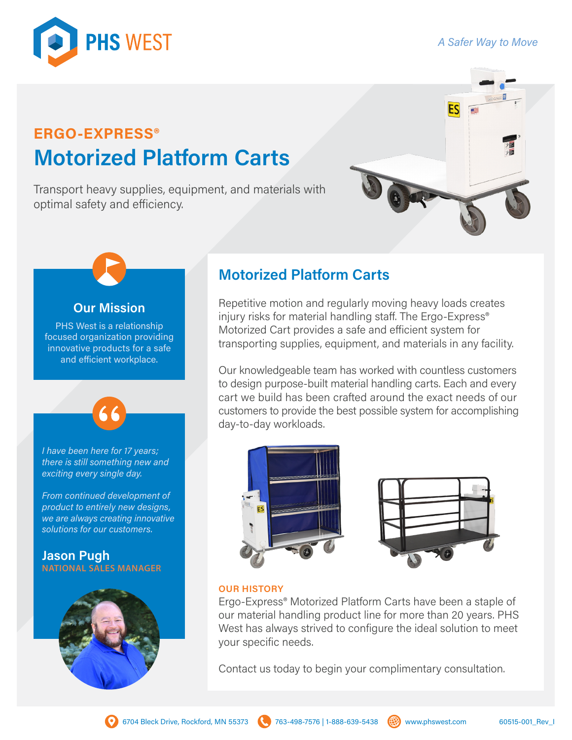# *A Safer Way to Move*



# **ERGO-EXPRESS® Motorized Platform Carts**

Transport heavy supplies, equipment, and materials with optimal safety and efficiency.



# **Our Mission**

PHS West is a relationship focused organization providing innovative products for a safe and efficient workplace.



*I have been here for 17 years; there is still something new and exciting every single day.*

*From continued development of product to entirely new designs, we are always creating innovative solutions for our customers.* 

## **Jason Pugh NATIONAL SALES MANAGER**



# **Motorized Platform Carts**

Repetitive motion and regularly moving heavy loads creates injury risks for material handling staff. The Ergo-Express® Motorized Cart provides a safe and efficient system for transporting supplies, equipment, and materials in any facility.

Our knowledgeable team has worked with countless customers to design purpose-built material handling carts. Each and every cart we build has been crafted around the exact needs of our customers to provide the best possible system for accomplishing day-to-day workloads.





### **OUR HISTORY**

Ergo-Express® Motorized Platform Carts have been a staple of our material handling product line for more than 20 years. PHS West has always strived to configure the ideal solution to meet your specific needs.

Contact us today to begin your complimentary consultation.